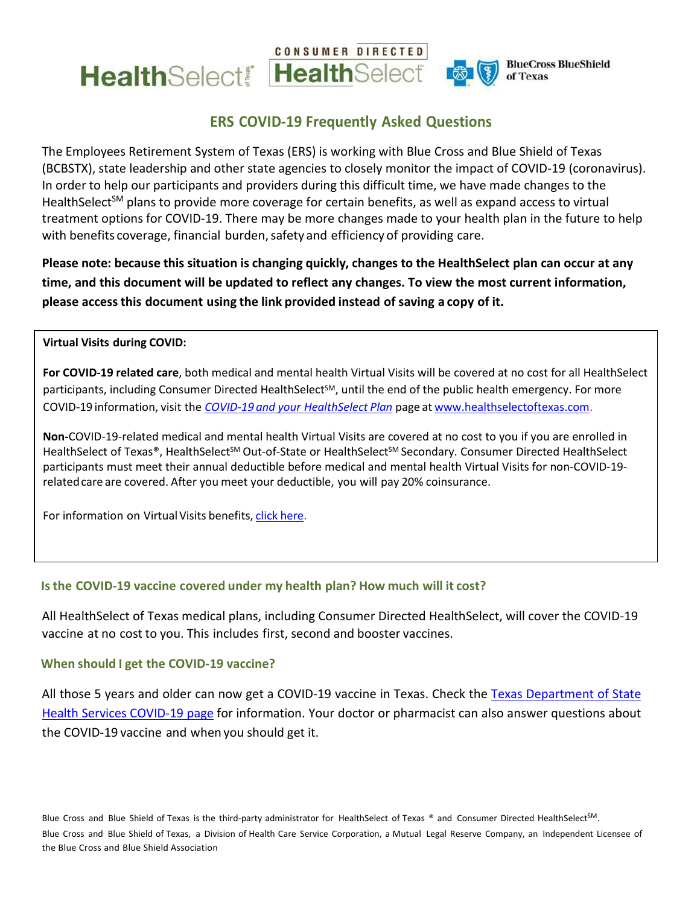



**BlueCross BlueShield** of Texas

# **ERS COVID-19 Frequently Asked Questions**

The Employees Retirement System of Texas (ERS) is working with Blue Cross and Blue Shield of Texas (BCBSTX), state leadership and other state agencies to closely monitor the impact of COVID-19 (coronavirus). In order to help our participants and providers during this difficult time, we have made changes to the HealthSelect<sup>SM</sup> plans to provide more coverage for certain benefits, as well as expand access to virtual treatment options for COVID-19. There may be more changes made to your health plan in the future to help with benefits coverage, financial burden, safety and efficiency of providing care.

**Please note: because this situation is changing quickly, changes to the HealthSelect plan can occur at any time, and this document will be updated to reflect any changes. To view the most current information, please access this document using the link provided instead of saving a copy of it.**

#### **Virtual Visits during COVID:**

**For COVID-19 related care**, both medical and mental health Virtual Visits will be covered at no cost for all HealthSelect participants, including Consumer Directed HealthSelect<sup>SM</sup>, until the end of the public health emergency. For more COVID-19 information, visit the *COVID-19 and your [HealthSelect](https://healthselect.bcbstx.com/content/medical-benefits/corona-virus) Plan* page at [www.healthselectoftexas.com.](http://www.healthselectoftexas.com/)

**Non-**COVID-19-related medical and mental health Virtual Visits are covered at no cost to you if you are enrolled in HealthSelect of Texas®, HealthSelect<sup>SM</sup> Out-of-State or HealthSelect<sup>SM</sup> Secondary. Consumer Directed HealthSelect participants must meet their annual deductible before medical and mental health Virtual Visits for non-COVID-19 relatedcare are covered. After you meet your deductible, you will pay 20% coinsurance.

For information on Virtual Visits benefits, click [here.](https://healthselect.bcbstx.com/content/medical-benefits/virtual-visits)

# **Isthe COVID-19 vaccine covered under my health plan? How much will it cost?**

All HealthSelect of Texas medical plans, including Consumer Directed HealthSelect, will cover the COVID-19 vaccine at no cost to you. This includes first, second and booster vaccines.

#### **When should I get the COVID-19 vaccine?**

All those 5 years and older can now get a COVID-19 vaccine in Texas. Check the [Texas Department of State](https://www.dshs.state.tx.us/coronavirus/immunize/vaccine.aspx) [Health Services COVID-19 page](https://www.dshs.state.tx.us/coronavirus/immunize/vaccine.aspx) for information. Your doctor or pharmacist can also answer questions about the COVID-19 vaccine and when you should get it.

the Blue Cross and Blue Shield Association Blue Cross and Blue Shield of Texas is the third-party administrator for HealthSelect of Texas ® and Consumer Directed HealthSelect<sup>SM</sup>. Blue Cross and Blue Shield of Texas, a Division of Health Care Service Corporation, a Mutual Legal Reserve Company, an Independent Licensee of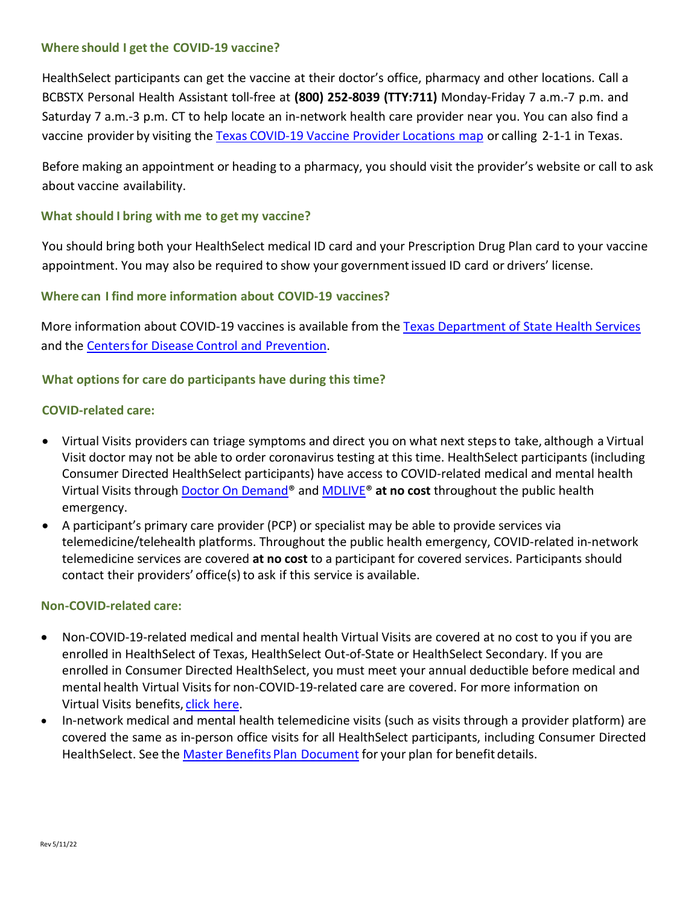# **Where should I get the COVID-19 vaccine?**

HealthSelect participants can get the vaccine at their doctor's office, pharmacy and other locations. Call a BCBSTX Personal Health Assistant toll-free at **(800) 252-8039 (TTY:711)** Monday-Friday 7 a.m.-7 p.m. and Saturday 7 a.m.-3 p.m. CT to help locate an in-network health care provider near you. You can also find a vaccine provider by visiting the Texas [COVID-19](https://tdem.maps.arcgis.com/apps/webappviewer/index.html?id=3700a84845c5470cb0dc3ddace5c376b) Vaccine Provider Locations map or calling 2-1-1 in Texas.

Before making an appointment or heading to a pharmacy, you should visit the provider's website or call to ask about vaccine availability.

# **What should I bring with me to get my vaccine?**

You should bring both your HealthSelect medical ID card and your Prescription Drug Plan card to your vaccine appointment. You may also be required to show your government issued ID card or drivers' license.

# **Where can I find more information about COVID-19 vaccines?**

More information about COVID-19 vaccines is available from the [Texas Department of State Health Services](https://www.dshs.state.tx.us/coronavirus/immunize/vaccine.aspx) and the Centersfor Disease Control and [Prevention.](https://www.cdc.gov/coronavirus/2019-ncov/vaccines/index.html)

#### **What options for care do participants have during this time?**

#### **COVID-related care:**

- Virtual Visits providers can triage symptoms and direct you on what next steps to take, although a Virtual Visit doctor may not be able to order coronavirus testing at this time. HealthSelect participants (including Consumer Directed HealthSelect participants) have access to COVID-related medical and mental health Virtual Visits through Doctor On Demand® and [MDLIVE®](https://mdlive.com/healthselect) **at no cost** throughout the public health emergency.
- A participant's primary care provider (PCP) or specialist may be able to provide services via telemedicine/telehealth platforms. Throughout the public health emergency, COVID-related in-network telemedicine services are covered **at no cost** to a participant for covered services. Participants should contact their providers' office(s) to ask if this service is available.

### **Non-COVID-related care:**

- Non-COVID-19-related medical and mental health Virtual Visits are covered at no cost to you if you are enrolled in HealthSelect of Texas, HealthSelect Out-of-State or HealthSelect Secondary. If you are enrolled in Consumer Directed HealthSelect, you must meet your annual deductible before medical and mental health Virtual Visits for non-COVID-19-related care are covered. For more information on Virtual Visits benefits, click [here.](https://healthselect.bcbstx.com/content/medical-benefits/virtual-visits)
- In-network medical and mental health telemedicine visits (such as visits through a provider platform) are covered the same as in-person office visits for all HealthSelect participants, including Consumer Directed HealthSelect. See the Master Benefits Plan Document for your plan for benefit details.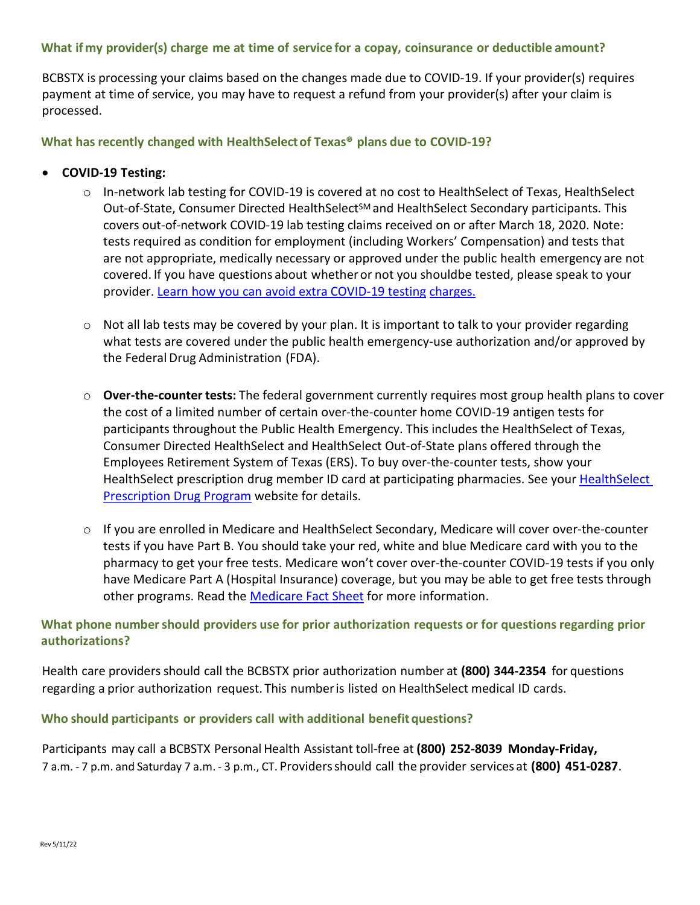# **What if my provider(s) charge me at time of service for a copay, coinsurance or deductible amount?**

BCBSTX is processing your claims based on the changes made due to COVID-19. If your provider(s) requires payment at time of service, you may have to request a refund from your provider(s) after your claim is processed.

**What has recently changed with HealthSelectof Texas® plans due to COVID-19?**

### • **COVID-19 Testing:**

- o In-network lab testing for COVID-19 is covered at no cost to HealthSelect of Texas, HealthSelect Out-of-State, Consumer Directed HealthSelect<sup>SM</sup> and HealthSelect Secondary participants. This covers out-of-network COVID-19 lab testing claims received on or after March 18, 2020. Note: tests required as condition for employment (including Workers' Compensation) and tests that are not appropriate, medically necessary or approved under the public health emergency are not covered. If you have questions about whetheror not you shouldbe tested, please speak to your provider. [Learn how you can avoid extra COVID-19 testing](https://tdi.texas.gov/news/2020/tdi07072020.html) [charges.](https://tdi.texas.gov/news/2020/tdi07072020.html)
- $\circ$  Not all lab tests may be covered by your plan. It is important to talk to your provider regarding what tests are covered under the public health emergency-use authorization and/or approved by the Federal Drug Administration (FDA).
- o **Over-the-counter tests:** The federal government currently requires most group health plans to cover the cost of a limited number of certain over-the-counter home COVID-19 antigen tests for participants throughout the Public Health Emergency. This includes the HealthSelect of Texas, Consumer Directed HealthSelect and HealthSelect Out-of-State plans offered through the Employees Retirement System of Texas (ERS). To buy over-the-counter tests, show your HealthSelect prescription drug member ID card at participating pharmacies. See your [HealthSelect](https://urldefense.com/v3/__https:/www.optumrx.com/content/rxmember/default/en_us/angular-free/optumrx/Information-Center/test-reimbursement.html__;!!LAlM4g!jXShX8WnS2g4SaSqDLWKoXY0OTph-ZfKTS0TWReexygE7xIISXkTsC25xyM7Y7CqvpjXMho$)  [Prescription Drug Program](https://urldefense.com/v3/__https:/www.optumrx.com/content/rxmember/default/en_us/angular-free/optumrx/Information-Center/test-reimbursement.html__;!!LAlM4g!jXShX8WnS2g4SaSqDLWKoXY0OTph-ZfKTS0TWReexygE7xIISXkTsC25xyM7Y7CqvpjXMho$) website for details.
- o If you are enrolled in Medicare and HealthSelect Secondary, Medicare will cover over-the-counter tests if you have Part B. You should take your red, white and blue Medicare card with you to the pharmacy to get your free tests. Medicare won't cover over-the-counter COVID-19 tests if you only have Medicare Part A (Hospital Insurance) coverage, but you may be able to get free tests through other programs. Read the [Medicare Fact Sheet](https://www.cms.gov/newsroom/fact-sheets/medicare-covers-over-counter-covid-19-tests) for more information.

# **What phone numbershould providers use for prior authorization requests or for questionsregarding prior authorizations?**

Health care providersshould call the BCBSTX prior authorization number at **(800) 344-2354** for questions regarding a prior authorization request. This numberis listed on HealthSelect medical ID cards.

# **Who should participants or providers call with additional benefitquestions?**

Participants may call a BCBSTX Personal Health Assistant toll-free at **(800) 252-8039 Monday-Friday,** 7 a.m. - 7 p.m. and Saturday 7 a.m. - 3 p.m., CT. Providersshould call the provider services at **(800) 451-0287**.